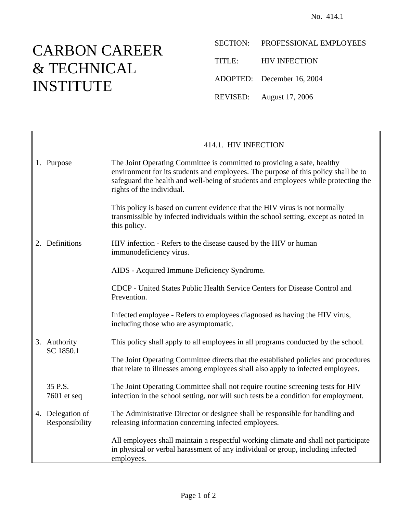## CARBON CAREER & TECHNICAL INSTITUTE

SECTION: PROFESSIONAL EMPLOYEES

TITLE: HIV INFECTION

ADOPTED: December 16, 2004

REVISED: August 17, 2006

|  |                                    | 414.1. HIV INFECTION                                                                                                                                                                                                                                                             |
|--|------------------------------------|----------------------------------------------------------------------------------------------------------------------------------------------------------------------------------------------------------------------------------------------------------------------------------|
|  | 1. Purpose                         | The Joint Operating Committee is committed to providing a safe, healthy<br>environment for its students and employees. The purpose of this policy shall be to<br>safeguard the health and well-being of students and employees while protecting the<br>rights of the individual. |
|  |                                    | This policy is based on current evidence that the HIV virus is not normally<br>transmissible by infected individuals within the school setting, except as noted in<br>this policy.                                                                                               |
|  | 2. Definitions                     | HIV infection - Refers to the disease caused by the HIV or human<br>immunodeficiency virus.                                                                                                                                                                                      |
|  |                                    | AIDS - Acquired Immune Deficiency Syndrome.                                                                                                                                                                                                                                      |
|  |                                    | CDCP - United States Public Health Service Centers for Disease Control and<br>Prevention.                                                                                                                                                                                        |
|  |                                    | Infected employee - Refers to employees diagnosed as having the HIV virus,<br>including those who are asymptomatic.                                                                                                                                                              |
|  | 3. Authority<br>SC 1850.1          | This policy shall apply to all employees in all programs conducted by the school.                                                                                                                                                                                                |
|  |                                    | The Joint Operating Committee directs that the established policies and procedures<br>that relate to illnesses among employees shall also apply to infected employees.                                                                                                           |
|  | 35 P.S.<br>7601 et seq             | The Joint Operating Committee shall not require routine screening tests for HIV<br>infection in the school setting, nor will such tests be a condition for employment.                                                                                                           |
|  | 4. Delegation of<br>Responsibility | The Administrative Director or designee shall be responsible for handling and<br>releasing information concerning infected employees.                                                                                                                                            |
|  |                                    | All employees shall maintain a respectful working climate and shall not participate<br>in physical or verbal harassment of any individual or group, including infected<br>employees.                                                                                             |